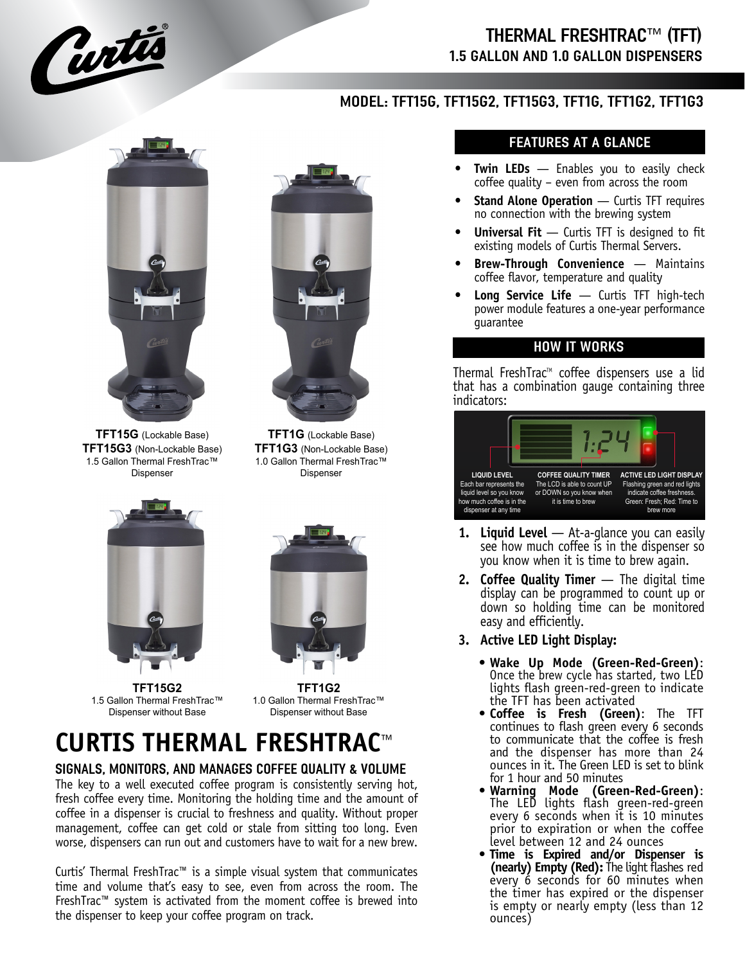

## THERMAL FRESHTRAC™ (TFT) 1.5 GALLON AND 1.0 GALLON DISPENSERS

### MODEL: TFT15G, TFT15G2, TFT15G3, TFT1G, TFT1G2, TFT1G3



**TFT15G** (Lockable Base) **TFT15G3** (Non-Lockable Base) 1.5 Gallon Thermal FreshTrac™ Dispenser



**TFT1G** (Lockable Base) **TFT1G3** (Non-Lockable Base) 1.0 Gallon Thermal FreshTrac™ Dispenser



**TFT15G2** 1.5 Gallon Thermal FreshTrac™ Dispenser without Base



**TFT1G2** 1.0 Gallon Thermal FreshTrac™ Dispenser without Base

# **CURTIS THERMAL FRESHTRAC**™

#### SIGNALS, MONITORS, AND MANAGES COFFEE QUALITY & VOLUME

The key to a well executed coffee program is consistently serving hot, fresh coffee every time. Monitoring the holding time and the amount of coffee in a dispenser is crucial to freshness and quality. Without proper management, coffee can get cold or stale from sitting too long. Even worse, dispensers can run out and customers have to wait for a new brew.

Curtis' Thermal FreshTrac™ is a simple visual system that communicates time and volume that's easy to see, even from across the room. The FreshTrac™ system is activated from the moment coffee is brewed into the dispenser to keep your coffee program on track.

#### FEATURES AT A GLANCE

- **Twin LEDs** Enables you to easily check coffee quality – even from across the room
- **Stand Alone Operation** Curtis TFT requires no connection with the brewing system
- **Universal Fit** Curtis TFT is designed to fit existing models of Curtis Thermal Servers.
- **Brew-Through Convenience** Maintains coffee flavor, temperature and quality
- **Long Service Life**  Curtis TFT high-tech power module features a one-year performance guarantee

#### HOW IT WORKS

Thermal FreshTrac<sup>™</sup> coffee dispensers use a lid that has a combination gauge containing three indicators:



- **1. Liquid Level**  At-a-glance you can easily see how much coffee is in the dispenser so you know when it is time to brew again.
- **2. Coffee Quality Timer**  The digital time display can be programmed to count up or down so holding time can be monitored easy and efficiently.
- **3. Active LED Light Display:**
	- **• Wake Up Mode (Green-Red-Green)**: Once the brew cycle has started, two LED lights flash green-red-green to indicate the TFT has been activated
	- **• Coffee is Fresh (Green)**: The TFT continues to flash green every 6 seconds to communicate that the coffee is fresh and the dispenser has more than 24 ounces in it. The Green LED is set to blink for 1 hour and 50 minutes
	- **• Warning Mode (Green-Red-Green)**: The LED lights flash green-red-green every 6 seconds when it is 10 minutes prior to expiration or when the coffee level between 12 and 24 ounces
	- **• Time is Expired and/or Dispenser is (nearly) Empty (Red):** The light flashes red every 6 seconds for 60 minutes when the timer has expired or the dispenser is empty or nearly empty (less than 12 ounces)